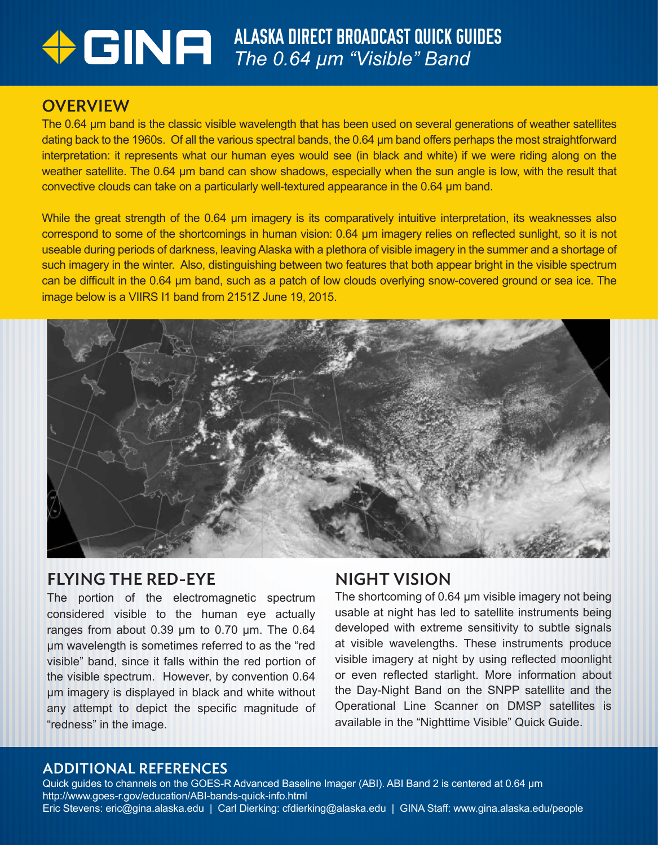# ALASKA DIRECT BROADCAST QUICK GUIDES *The 0.64 µm "Visible" Band*

#### **OVERVIEW**

The 0.64 µm band is the classic visible wavelength that has been used on several generations of weather satellites dating back to the 1960s. Of all the various spectral bands, the 0.64 µm band offers perhaps the most straightforward interpretation: it represents what our human eyes would see (in black and white) if we were riding along on the weather satellite. The 0.64 µm band can show shadows, especially when the sun angle is low, with the result that convective clouds can take on a particularly well-textured appearance in the 0.64 µm band.

While the great strength of the 0.64 µm imagery is its comparatively intuitive interpretation, its weaknesses also correspond to some of the shortcomings in human vision: 0.64 µm imagery relies on reflected sunlight, so it is not useable during periods of darkness, leaving Alaska with a plethora of visible imagery in the summer and a shortage of such imagery in the winter. Also, distinguishing between two features that both appear bright in the visible spectrum can be difficult in the 0.64 µm band, such as a patch of low clouds overlying snow-covered ground or sea ice. The image below is a VIIRS I1 band from 2151Z June 19, 2015.



#### FLYING THE RED-EYE

The portion of the electromagnetic spectrum considered visible to the human eye actually ranges from about 0.39 µm to 0.70 µm. The 0.64 µm wavelength is sometimes referred to as the "red visible" band, since it falls within the red portion of the visible spectrum. However, by convention 0.64 µm imagery is displayed in black and white without any attempt to depict the specific magnitude of "redness" in the image.

## NIGHT VISION

The shortcoming of 0.64 µm visible imagery not being usable at night has led to satellite instruments being developed with extreme sensitivity to subtle signals at visible wavelengths. These instruments produce visible imagery at night by using reflected moonlight or even reflected starlight. More information about the Day-Night Band on the SNPP satellite and the Operational Line Scanner on DMSP satellites is available in the "Nighttime Visible" Quick Guide.

#### ADDITIONAL REFERENCES

Quick guides to channels on the GOES-R Advanced Baseline Imager (ABI). ABI Band 2 is centered at 0.64 µm http://www.goes-r.gov/education/ABI-bands-quick-info.html Eric Stevens: eric@gina.alaska.edu | Carl Dierking: cfdierking@alaska.edu | GINA Staff: www.gina.alaska.edu/people